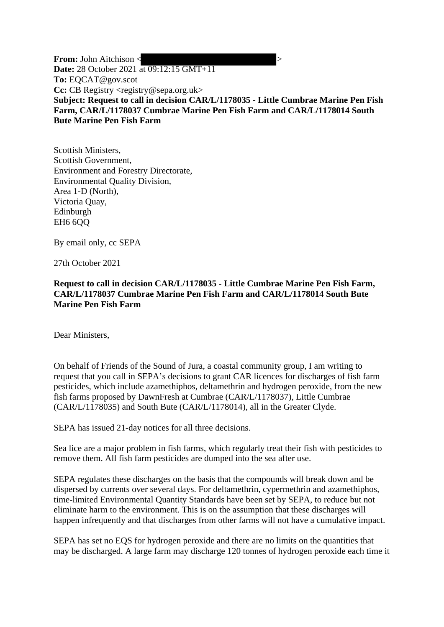**From:** John Aitchison <  $\geq$ **Date:** 28 October 2021 at 09:12:15 GMT+11 **To:** EQCAT@gov.scot **Cc:** CB Registry <registry@sepa.org.uk> **Subject: Request to call in decision CAR/L/1178035 - Little Cumbrae Marine Pen Fish Farm, CAR/L/1178037 Cumbrae Marine Pen Fish Farm and CAR/L/1178014 South Bute Marine Pen Fish Farm**

Scottish Ministers, Scottish Government, Environment and Forestry Directorate, Environmental Quality Division, Area 1-D (North), Victoria Quay, Edinburgh EH6 6QQ

By email only, cc SEPA

27th October 2021

**Request to call in decision CAR/L/1178035 - Little Cumbrae Marine Pen Fish Farm, CAR/L/1178037 Cumbrae Marine Pen Fish Farm and CAR/L/1178014 South Bute Marine Pen Fish Farm**

Dear Ministers,

On behalf of Friends of the Sound of Jura, a coastal community group, I am writing to request that you call in SEPA's decisions to grant CAR licences for discharges of fish farm pesticides, which include azamethiphos, deltamethrin and hydrogen peroxide, from the new fish farms proposed by DawnFresh at Cumbrae (CAR/L/1178037), Little Cumbrae (CAR/L/1178035) and South Bute (CAR/L/1178014), all in the Greater Clyde.

SEPA has issued 21-day notices for all three decisions.

Sea lice are a major problem in fish farms, which regularly treat their fish with pesticides to remove them. All fish farm pesticides are dumped into the sea after use.

SEPA regulates these discharges on the basis that the compounds will break down and be dispersed by currents over several days. For deltamethrin, cypermethrin and azamethiphos, time-limited Environmental Quantity Standards have been set by SEPA, to reduce but not eliminate harm to the environment. This is on the assumption that these discharges will happen infrequently and that discharges from other farms will not have a cumulative impact.

SEPA has set no EQS for hydrogen peroxide and there are no limits on the quantities that may be discharged. A large farm may discharge 120 tonnes of hydrogen peroxide each time it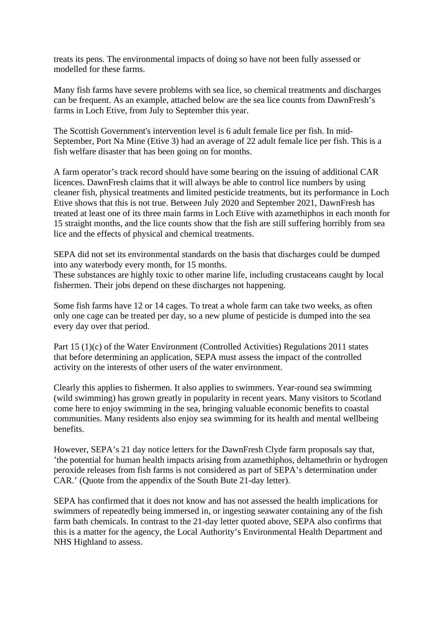treats its pens. The environmental impacts of doing so have not been fully assessed or modelled for these farms.

Many fish farms have severe problems with sea lice, so chemical treatments and discharges can be frequent. As an example, attached below are the sea lice counts from DawnFresh's farms in Loch Etive, from July to September this year.

The Scottish Government's intervention level is 6 adult female lice per fish. In mid-September, Port Na Mine (Etive 3) had an average of 22 adult female lice per fish. This is a fish welfare disaster that has been going on for months.

A farm operator's track record should have some bearing on the issuing of additional CAR licences. DawnFresh claims that it will always be able to control lice numbers by using cleaner fish, physical treatments and limited pesticide treatments, but its performance in Loch Etive shows that this is not true. Between July 2020 and September 2021, DawnFresh has treated at least one of its three main farms in Loch Etive with azamethiphos in each month for 15 straight months, and the lice counts show that the fish are still suffering horribly from sea lice and the effects of physical and chemical treatments.

SEPA did not set its environmental standards on the basis that discharges could be dumped into any waterbody every month, for 15 months.

These substances are highly toxic to other marine life, including crustaceans caught by local fishermen. Their jobs depend on these discharges not happening.

Some fish farms have 12 or 14 cages. To treat a whole farm can take two weeks, as often only one cage can be treated per day, so a new plume of pesticide is dumped into the sea every day over that period.

Part 15 (1)(c) of the Water Environment (Controlled Activities) Regulations 2011 states that before determining an application, SEPA must assess the impact of the controlled activity on the interests of other users of the water environment.

Clearly this applies to fishermen. It also applies to swimmers. Year-round sea swimming (wild swimming) has grown greatly in popularity in recent years. Many visitors to Scotland come here to enjoy swimming in the sea, bringing valuable economic benefits to coastal communities. Many residents also enjoy sea swimming for its health and mental wellbeing benefits.

However, SEPA's 21 day notice letters for the DawnFresh Clyde farm proposals say that, 'the potential for human health impacts arising from azamethiphos, deltamethrin or hydrogen peroxide releases from fish farms is not considered as part of SEPA's determination under CAR.' (Quote from the appendix of the South Bute 21-day letter).

SEPA has confirmed that it does not know and has not assessed the health implications for swimmers of repeatedly being immersed in, or ingesting seawater containing any of the fish farm bath chemicals. In contrast to the 21-day letter quoted above, SEPA also confirms that this is a matter for the agency, the Local Authority's Environmental Health Department and NHS Highland to assess.